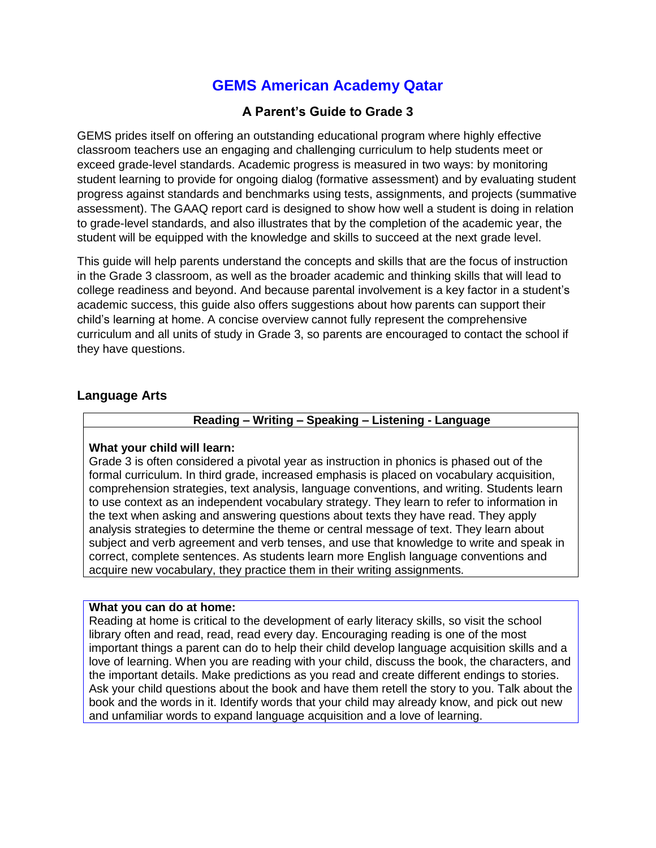# **GEMS American Academy Qatar**

# **A Parent's Guide to Grade 3**

GEMS prides itself on offering an outstanding educational program where highly effective classroom teachers use an engaging and challenging curriculum to help students meet or exceed grade-level standards. Academic progress is measured in two ways: by monitoring student learning to provide for ongoing dialog (formative assessment) and by evaluating student progress against standards and benchmarks using tests, assignments, and projects (summative assessment). The GAAQ report card is designed to show how well a student is doing in relation to grade-level standards, and also illustrates that by the completion of the academic year, the student will be equipped with the knowledge and skills to succeed at the next grade level.

This guide will help parents understand the concepts and skills that are the focus of instruction in the Grade 3 classroom, as well as the broader academic and thinking skills that will lead to college readiness and beyond. And because parental involvement is a key factor in a student's academic success, this guide also offers suggestions about how parents can support their child's learning at home. A concise overview cannot fully represent the comprehensive curriculum and all units of study in Grade 3, so parents are encouraged to contact the school if they have questions.

### **Language Arts**

## **Reading – Writing – Speaking – Listening - Language**

#### **What your child will learn:**

Grade 3 is often considered a pivotal year as instruction in phonics is phased out of the formal curriculum. In third grade, increased emphasis is placed on vocabulary acquisition, comprehension strategies, text analysis, language conventions, and writing. Students learn to use context as an independent vocabulary strategy. They learn to refer to information in the text when asking and answering questions about texts they have read. They apply analysis strategies to determine the theme or central message of text. They learn about subject and verb agreement and verb tenses, and use that knowledge to write and speak in correct, complete sentences. As students learn more English language conventions and acquire new vocabulary, they practice them in their writing assignments.

#### **What you can do at home:**

Reading at home is critical to the development of early literacy skills, so visit the school library often and read, read, read every day. Encouraging reading is one of the most important things a parent can do to help their child develop language acquisition skills and a love of learning. When you are reading with your child, discuss the book, the characters, and the important details. Make predictions as you read and create different endings to stories. Ask your child questions about the book and have them retell the story to you. Talk about the book and the words in it. Identify words that your child may already know, and pick out new and unfamiliar words to expand language acquisition and a love of learning.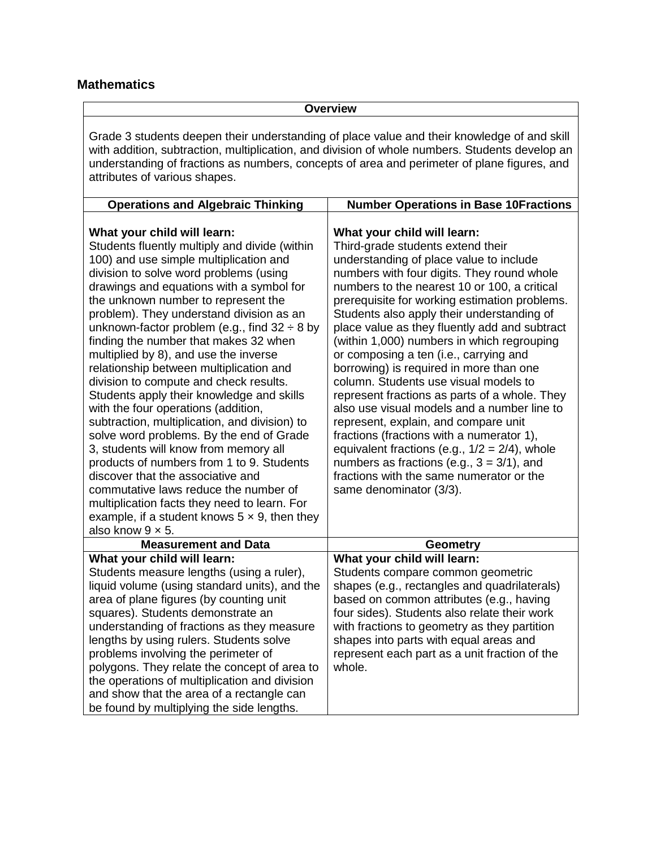# **Mathematics**

**Overview**

Grade 3 students deepen their understanding of place value and their knowledge of and skill with addition, subtraction, multiplication, and division of whole numbers. Students develop an understanding of fractions as numbers, concepts of area and perimeter of plane figures, and attributes of various shapes.

| <b>Operations and Algebraic Thinking</b>                                                                                                                                                                                                                                                                                                                                                                                                                                                                                                                                                                                                                                                                                                                                                                                                                                                                                                                                                                             | <b>Number Operations in Base 10Fractions</b>                                                                                                                                                                                                                                                                                                                                                                                                                                                                                                                                                                                                                                                                                                                                                                                                                                                          |
|----------------------------------------------------------------------------------------------------------------------------------------------------------------------------------------------------------------------------------------------------------------------------------------------------------------------------------------------------------------------------------------------------------------------------------------------------------------------------------------------------------------------------------------------------------------------------------------------------------------------------------------------------------------------------------------------------------------------------------------------------------------------------------------------------------------------------------------------------------------------------------------------------------------------------------------------------------------------------------------------------------------------|-------------------------------------------------------------------------------------------------------------------------------------------------------------------------------------------------------------------------------------------------------------------------------------------------------------------------------------------------------------------------------------------------------------------------------------------------------------------------------------------------------------------------------------------------------------------------------------------------------------------------------------------------------------------------------------------------------------------------------------------------------------------------------------------------------------------------------------------------------------------------------------------------------|
| What your child will learn:<br>Students fluently multiply and divide (within<br>100) and use simple multiplication and<br>division to solve word problems (using<br>drawings and equations with a symbol for<br>the unknown number to represent the<br>problem). They understand division as an<br>unknown-factor problem (e.g., find $32 \div 8$ by<br>finding the number that makes 32 when<br>multiplied by 8), and use the inverse<br>relationship between multiplication and<br>division to compute and check results.<br>Students apply their knowledge and skills<br>with the four operations (addition,<br>subtraction, multiplication, and division) to<br>solve word problems. By the end of Grade<br>3, students will know from memory all<br>products of numbers from 1 to 9. Students<br>discover that the associative and<br>commutative laws reduce the number of<br>multiplication facts they need to learn. For<br>example, if a student knows $5 \times 9$ , then they<br>also know $9 \times 5$ . | What your child will learn:<br>Third-grade students extend their<br>understanding of place value to include<br>numbers with four digits. They round whole<br>numbers to the nearest 10 or 100, a critical<br>prerequisite for working estimation problems.<br>Students also apply their understanding of<br>place value as they fluently add and subtract<br>(within 1,000) numbers in which regrouping<br>or composing a ten (i.e., carrying and<br>borrowing) is required in more than one<br>column. Students use visual models to<br>represent fractions as parts of a whole. They<br>also use visual models and a number line to<br>represent, explain, and compare unit<br>fractions (fractions with a numerator 1),<br>equivalent fractions (e.g., $1/2 = 2/4$ ), whole<br>numbers as fractions (e.g., $3 = 3/1$ ), and<br>fractions with the same numerator or the<br>same denominator (3/3). |
| <b>Measurement and Data</b>                                                                                                                                                                                                                                                                                                                                                                                                                                                                                                                                                                                                                                                                                                                                                                                                                                                                                                                                                                                          | <b>Geometry</b>                                                                                                                                                                                                                                                                                                                                                                                                                                                                                                                                                                                                                                                                                                                                                                                                                                                                                       |
| What your child will learn:<br>Students measure lengths (using a ruler),<br>liquid volume (using standard units), and the<br>area of plane figures (by counting unit<br>squares). Students demonstrate an<br>understanding of fractions as they measure<br>lengths by using rulers. Students solve<br>problems involving the perimeter of<br>polygons. They relate the concept of area to<br>the operations of multiplication and division<br>and show that the area of a rectangle can<br>be found by multiplying the side lengths.                                                                                                                                                                                                                                                                                                                                                                                                                                                                                 | What your child will learn:<br>Students compare common geometric<br>shapes (e.g., rectangles and quadrilaterals)<br>based on common attributes (e.g., having<br>four sides). Students also relate their work<br>with fractions to geometry as they partition<br>shapes into parts with equal areas and<br>represent each part as a unit fraction of the<br>whole.                                                                                                                                                                                                                                                                                                                                                                                                                                                                                                                                     |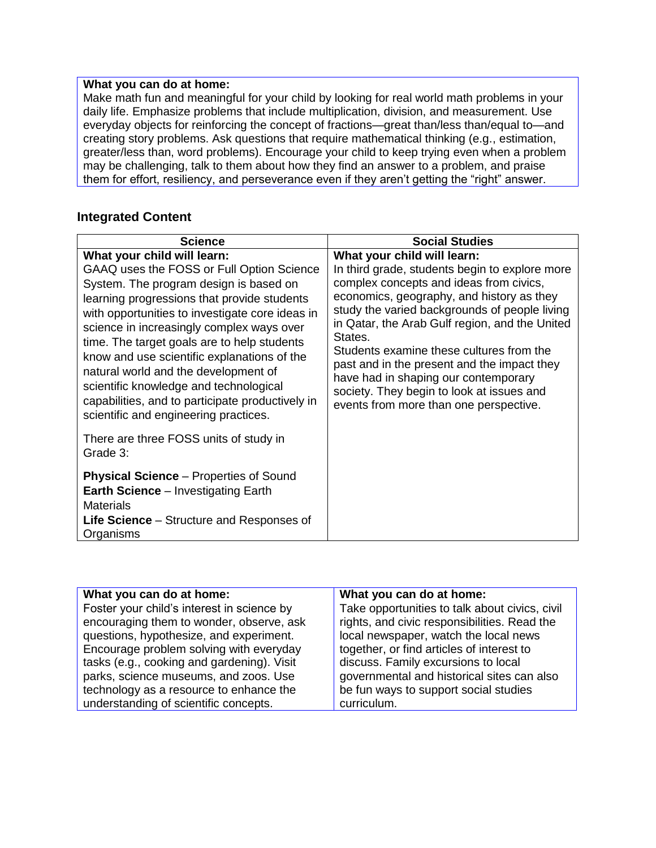## **What you can do at home:**

Make math fun and meaningful for your child by looking for real world math problems in your daily life. Emphasize problems that include multiplication, division, and measurement. Use everyday objects for reinforcing the concept of fractions—great than/less than/equal to—and creating story problems. Ask questions that require mathematical thinking (e.g., estimation, greater/less than, word problems). Encourage your child to keep trying even when a problem may be challenging, talk to them about how they find an answer to a problem, and praise them for effort, resiliency, and perseverance even if they aren't getting the "right" answer.

# **Integrated Content**

| <b>Science</b>                                                                                                                                                                                                                                                                                                                                                                                                                                                                                                                                 | <b>Social Studies</b>                                                                                                                                                                                                                                                                                                                                                                                                                                                                                         |
|------------------------------------------------------------------------------------------------------------------------------------------------------------------------------------------------------------------------------------------------------------------------------------------------------------------------------------------------------------------------------------------------------------------------------------------------------------------------------------------------------------------------------------------------|---------------------------------------------------------------------------------------------------------------------------------------------------------------------------------------------------------------------------------------------------------------------------------------------------------------------------------------------------------------------------------------------------------------------------------------------------------------------------------------------------------------|
| What your child will learn:<br>GAAQ uses the FOSS or Full Option Science<br>System. The program design is based on<br>learning progressions that provide students<br>with opportunities to investigate core ideas in<br>science in increasingly complex ways over<br>time. The target goals are to help students<br>know and use scientific explanations of the<br>natural world and the development of<br>scientific knowledge and technological<br>capabilities, and to participate productively in<br>scientific and engineering practices. | What your child will learn:<br>In third grade, students begin to explore more<br>complex concepts and ideas from civics,<br>economics, geography, and history as they<br>study the varied backgrounds of people living<br>in Qatar, the Arab Gulf region, and the United<br>States.<br>Students examine these cultures from the<br>past and in the present and the impact they<br>have had in shaping our contemporary<br>society. They begin to look at issues and<br>events from more than one perspective. |
| There are three FOSS units of study in<br>Grade 3:                                                                                                                                                                                                                                                                                                                                                                                                                                                                                             |                                                                                                                                                                                                                                                                                                                                                                                                                                                                                                               |
| <b>Physical Science</b> – Properties of Sound<br><b>Earth Science</b> – Investigating Earth<br><b>Materials</b><br><b>Life Science</b> – Structure and Responses of<br>Organisms                                                                                                                                                                                                                                                                                                                                                               |                                                                                                                                                                                                                                                                                                                                                                                                                                                                                                               |

| What you can do at home:                   | What you can do at home:                       |
|--------------------------------------------|------------------------------------------------|
| Foster your child's interest in science by | Take opportunities to talk about civics, civil |
| encouraging them to wonder, observe, ask   | rights, and civic responsibilities. Read the   |
| questions, hypothesize, and experiment.    | local newspaper, watch the local news          |
| Encourage problem solving with everyday    | together, or find articles of interest to      |
| tasks (e.g., cooking and gardening). Visit | discuss. Family excursions to local            |
| parks, science museums, and zoos. Use      | governmental and historical sites can also     |
| technology as a resource to enhance the    | be fun ways to support social studies          |
| understanding of scientific concepts.      | curriculum.                                    |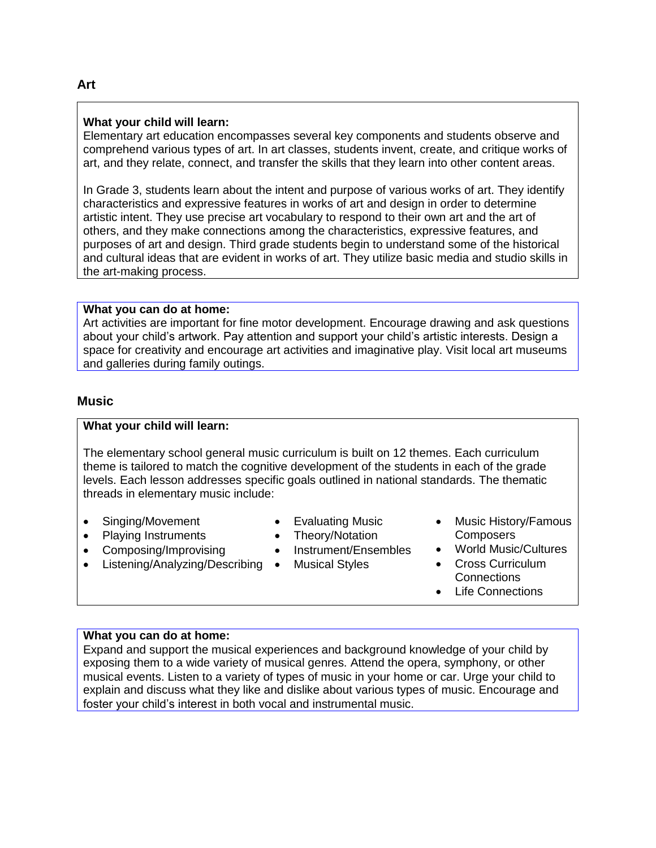#### **What your child will learn:**

Elementary art education encompasses several key components and students observe and comprehend various types of art. In art classes, students invent, create, and critique works of art, and they relate, connect, and transfer the skills that they learn into other content areas.

In Grade 3, students learn about the intent and purpose of various works of art. They identify characteristics and expressive features in works of art and design in order to determine artistic intent. They use precise art vocabulary to respond to their own art and the art of others, and they make connections among the characteristics, expressive features, and purposes of art and design. Third grade students begin to understand some of the historical and cultural ideas that are evident in works of art. They utilize basic media and studio skills in the art-making process.

## **What you can do at home:**

Art activities are important for fine motor development. Encourage drawing and ask questions about your child's artwork. Pay attention and support your child's artistic interests. Design a space for creativity and encourage art activities and imaginative play. Visit local art museums and galleries during family outings.

### **Music**

## **What your child will learn:**

The elementary school general music curriculum is built on 12 themes. Each curriculum theme is tailored to match the cognitive development of the students in each of the grade levels. Each lesson addresses specific goals outlined in national standards. The thematic threads in elementary music include:

- Singing/Movement
- Playing Instruments
- Composing/Improvising
- Listening/Analyzing/Describing | Musical Styles
- Evaluating Music
- Theory/Notation
- Instrument/Ensembles
	-
- Music History/Famous **Composers**
- World Music/Cultures
- Cross Curriculum **Connections**
- Life Connections

#### **What you can do at home:**

Expand and support the musical experiences and background knowledge of your child by exposing them to a wide variety of musical genres. Attend the opera, symphony, or other musical events. Listen to a variety of types of music in your home or car. Urge your child to explain and discuss what they like and dislike about various types of music. Encourage and foster your child's interest in both vocal and instrumental music.